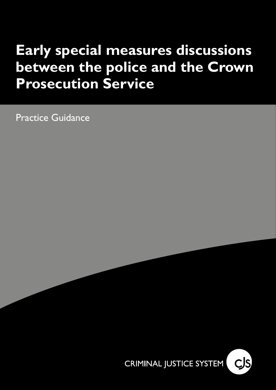## **Early special measures discussions between the police and the Crown Prosecution Service**

Practice Guidance

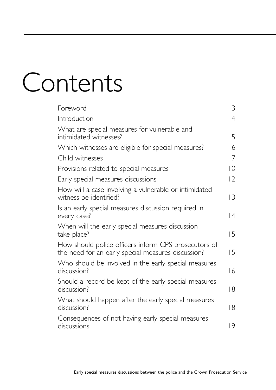## Contents

| Foreword                                                                                                   | 3              |
|------------------------------------------------------------------------------------------------------------|----------------|
| Introduction                                                                                               | $\overline{4}$ |
| What are special measures for vulnerable and<br>intimidated witnesses?                                     | 5              |
| Which witnesses are eligible for special measures?                                                         | 6              |
| Child witnesses                                                                                            | 7              |
| Provisions related to special measures                                                                     | 10             |
| Early special measures discussions                                                                         | $\overline{2}$ |
| How will a case involving a vulnerable or intimidated<br>witness be identified?                            | 3              |
| Is an early special measures discussion required in<br>every case?                                         | 4              |
| When will the early special measures discussion<br>take place?                                             | 15             |
| How should police officers inform CPS prosecutors of<br>the need for an early special measures discussion? | 15             |
| Who should be involved in the early special measures<br>discussion?                                        | 16             |
| Should a record be kept of the early special measures<br>discussion?                                       | 18             |
| What should happen after the early special measures<br>discussion?                                         | 18             |
| Consequences of not having early special measures<br>discussions                                           | 9              |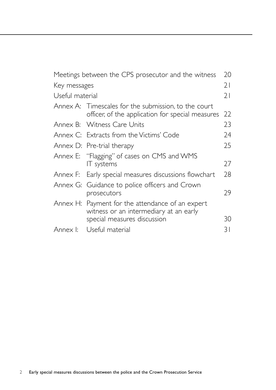|                 | Meetings between the CPS prosecutor and the witness                                                                       | 20 |
|-----------------|---------------------------------------------------------------------------------------------------------------------------|----|
| Key messages    |                                                                                                                           |    |
| Useful material |                                                                                                                           | 21 |
|                 | Annex A: Timescales for the submission, to the court<br>officer, of the application for special measures                  | 22 |
|                 | Annex B: Witness Care Units                                                                                               | 23 |
|                 | Annex C: Extracts from the Victims' Code                                                                                  | 24 |
|                 | Annex D: Pre-trial therapy                                                                                                | 25 |
|                 | Annex E: "Flagging" of cases on CMS and WMS<br>$IT$ systems                                                               | 27 |
|                 | Annex F: Early special measures discussions flowchart                                                                     | 28 |
|                 | Annex G: Guidance to police officers and Crown<br>prosecutors                                                             | 29 |
|                 | Annex H: Payment for the attendance of an expert<br>witness or an intermediary at an early<br>special measures discussion | 30 |
| Annex I:        | Useful material                                                                                                           | 31 |
|                 |                                                                                                                           |    |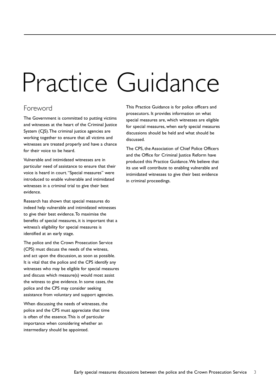# Practice Guidance

### Foreword

The Government is committed to putting victims and witnesses at the heart of the Criminal lustice System (CJS). The criminal justice agencies are working together to ensure that all victims and witnesses are treated properly and have a chance for their voice to be heard.

Vulnerable and intimidated witnesses are in particular need of assistance to ensure that their voice is heard in court. "Special measures" were introduced to enable vulnerable and intimidated witnesses in a criminal trial to give their best evidence.

Research has shown that special measures do indeed help vulnerable and intimidated witnesses to give their best evidence. To maximise the benefits of special measures, it is important that a witness's eligibility for special measures is identified at an early stage.

The police and the Crown Prosecution Service (CPS) must discuss the needs of the witness, and act upon the discussion, as soon as possible. It is vital that the police and the CPS identify any witnesses who may be eligible for special measures and discuss which measure(s) would most assist the witness to give evidence. In some cases, the police and the CPS may consider seeking assistance from voluntary and support agencies.

When discussing the needs of witnesses, the police and the CPS must appreciate that time is often of the essence. This is of particular importance when considering whether an intermediary should be appointed.

This Practice Guidance is for police officers and prosecutors. It provides information on what special measures are, which witnesses are eligible for special measures, when early special measures discussions should be held and what should be discussed.

The CPS, the Association of Chief Police Officers and the Office for Criminal Justice Reform have produced this Practice Guidance. We believe that its use will contribute to enabling vulnerable and intimidated witnesses to give their best evidence in criminal proceedings.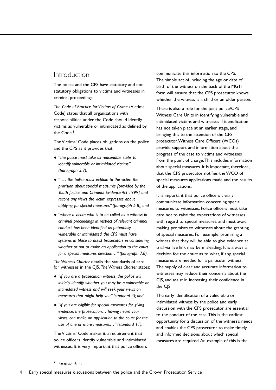### Introduction

The police and the CPS have statutory and nonstatutory obligations to victims and witnesses in criminal proceedings.

*The Code of Practice for Victims of Crime* (Victims' Code) states that all organisations with responsibilities under the Code should identify victims as vulnerable or intimidated as defined by the Code.<sup>1</sup>

The Victims' Code places obligations on the police and the CPS as it provides that:

- *"the police must take all reasonable steps to identify vulnerable or intimidated victims" (paragraph 5.7);*
- *" … the police must explain to the victim the provision about special measures [provided by the Youth Justice and Criminal Evidence Act 1999] and record any views the victim expresses about applying for special measures" (paragraph 5.8); and*
- *• "where a victim who is to be called as a witness in criminal proceedings in respect of relevant criminal conduct, has been identified as potentially vulnerable or intimidated, the CPS must have systems in place to assist prosecutors in considering whether or not to make an application to the court for a special measures direction…" (paragraph 7.8).*

*The Witness Charter* details the standards of care for witnesses in the CJS. *The Witness Charter* states:

- *"if you are a prosecution witness, the police will initially identify whether you may be a vulnerable or intimidated witness and will seek your views on measures that might help you" (standard 4); and*
- *• "if you are eligible for special measures for giving evidence, the prosecution… having heard your views, can make an application to the court for the use of one or more measures…" (standard 11).*

The Victims' Code makes it a requirement that police officers identify vulnerable and intimidated witnesses. It is very important that police officers

communicate this information to the CPS. The simple act of including the age or date of birth of the witness on the back of the MG11 form will ensure that the CPS prosecutor knows whether the witness is a child or an older person.

There is also a role for the joint police/CPS Witness Care Units in identifying vulnerable and intimidated victims and witnesses if identification has not taken place at an earlier stage, and bringing this to the attention of the CPS prosecutor. Witness Care Officers (WCOs) provide support and information about the progress of the case to victims and witnesses from the point of charge. This includes information about special measures. It is important, therefore, that the CPS prosecutor notifies the WCO of special measures applications made and the results of the applications.

It is important that police officers clearly communicate information concerning special measures to witnesses. Police officers must take care not to raise the expectations of witnesses with regard to special measures, and must avoid making promises to witnesses about the granting of special measures. For example, promising a witness that they will be able to give evidence at trial via live link may be misleading. It is always a decision for the court as to what, if any, special measures are needed for a particular witness. The supply of clear and accurate information to witnesses may reduce their concerns about the CJS, and assist in increasing their confidence in the CJS.

The early identification of a vulnerable or intimidated witness by the police and early discussion with the CPS prosecutor are essential to the conduct of the case. This is the earliest opportunity for a discussion of the witness's needs and enables the CPS prosecutor to make timely and informed decisions about which special measures are required. An example of this is the

<sup>1</sup> Paragraph 4.11.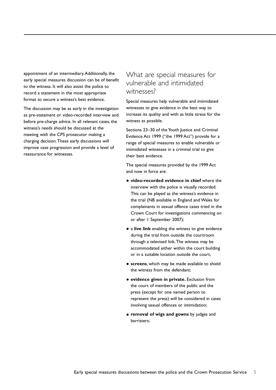appointment of an intermediary. Additionally, the early special measures discussion can be of benefit to the witness. It will also assist the police to record a statement in the most appropriate format to secure a witness's best evidence.

The discussion may be as early in the investigation as pre-statement or video-recorded interview and before pre-charge advice. In all relevant cases, the witness's needs should be discussed at the meeting with the CPS prosecutor making a charging decision. These early discussions will improve case progression and provide a level of reassurance for witnesses.

### What are special measures for vulnerable and intimidated witnesses?

Special measures help vulnerable and intimidated witnesses to give evidence in the best way to increase its quality and with as little stress for the witness as possible.

Sections 23-30 of the Youth Justice and Criminal Evidence Act 1999 ("the 1999 Act") provide for a range of special measures to enable vulnerable or intimidated witnesses in a criminal trial to give their best evidence.

The special measures provided by the 1999 Act and now in force are:

- **video-recorded evidence in chief** where the interview with the police is visually recorded. This can be played as the witness's evidence in the trial (NB available in England and Wales for complainants in sexual offence cases tried in the Crown Court for investigations commencing on or after 1 September 2007);
- <sup>a</sup>**live link** enabling the witness to give evidence during the trial from outside the courtroom through a televised link. The witness may be accommodated either within the court building or in a suitable location outside the court;
- **screens**, which may be made available to shield the witness from the defendant;
- **evidence given in private.** Exclusion from the court of members of the public and the press (except for one named person to represent the press) will be considered in cases involving sexual offences or intimidation;
- **removal of wigs and gowns** by judges and barristers;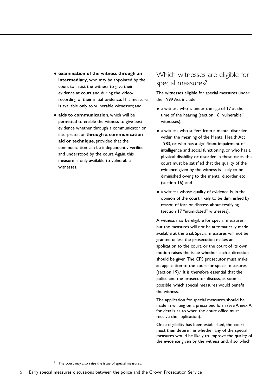- **examination of the witness through an intermediary**, who may be appointed by the court to assist the witness to give their evidence at court and during the videorecording of their initial evidence. This measure is available only to vulnerable witnesses; and
- **aids to communication**, which will be permitted to enable the witness to give best evidence whether through a communicator or interpreter, or **through a communication aid or technique**, provided that the communication can be independently verified and understood by the court. Again, this measure is only available to vulnerable witnesses.

### Which witnesses are eligible for special measures?

The witnesses eligible for special measures under the 1999 Act include:

- a witness who is under the age of 17 at the time of the hearing (section 16 "vulnerable" witnesses);
- a witness who suffers from a mental disorder within the meaning of the Mental Health Act 1983, or who has a significant impairment of intelligence and social functioning, or who has a physical disability or disorder. In these cases, the court must be satisfied that the quality of the evidence given by the witness is likely to be diminished owing to the mental disorder etc (section 16); and
- a witness whose quality of evidence is, in the opinion of the court, likely to be diminished by reason of fear or distress about testifying (section 17 "intimidated" witnesses).

A witness may be eligible for special measures, but the measures will not be automatically made available at the trial. Special measures will not be granted unless the prosecution makes an application to the court, or the court of its own motion raises the issue whether such a direction should be given. The CPS prosecutor must make an application to the court for special measures (section  $19$ ).<sup>2</sup> It is therefore essential that the police and the prosecutor discuss, as soon as possible, which special measures would benefit the witness.

The application for special measures should be made in writing on a prescribed form (see Annex A for details as to when the court office must receive the application).

Once eligibility has been established, the court must then determine whether any of the special measures would be likely to improve the quality of the evidence given by the witness and, if so, which

<sup>2</sup> The court may also raise the issue of special measures.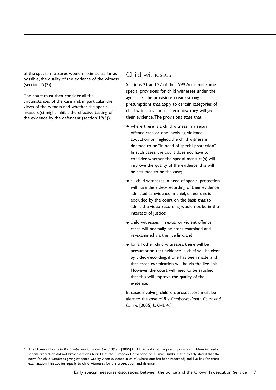of the special measures would maximise, as far as possible, the quality of the evidence of the witness (section 19(2)).

The court must then consider all the circumstances of the case and, in particular, the views of the witness and whether the special measure(s) might inhibit the effective testing of the evidence by the defendant (section 19(3)).

### Child witnesses

Sections 21 and 22 of the 1999 Act detail some special provisions for child witnesses under the age of 17. The provisions create strong presumptions that apply to certain categories of child witnesses and concern how they will give their evidence. The provisions state that:

- where there is a child witness in a sexual offence case or one involving violence, abduction or neglect, the child witness is deemed to be "in need of special protection". In such cases, the court does not have to consider whether the special measure(s) will improve the quality of the evidence; this will be assumed to be the case;
- all child witnesses in need of special protection will have the video-recording of their evidence admitted as evidence in chief, unless this is excluded by the court on the basis that to admit the video-recording would not be in the interests of iustice:
- child witnesses in sexual or violent offence cases will normally be cross-examined and re-examined via the live link; and
- for all other child witnesses, there will be presumption that evidence in chief will be given by video-recording, if one has been made, and that cross-examination will be via the live link. However, the court will need to be satisfied that this will improve the quality of the evidence.

In cases involving children, prosecutors must be alert to the case of *R v Camberwell Youth Court and Others* [2005] UKHL 4.3

<sup>3</sup> The House of Lords in *R v Camberwell Youth Court and Others* [2005] UKHL 4 held that the presumption for children in need of special protection did not breach Articles 6 or 14 of the European Convention on Human Rights. It also clearly stated that the norm for child witnesses giving evidence was by video evidence in chief (where one has been recorded) and live link for crossexamination. This applies equally to child witnesses for the prosecution and defence.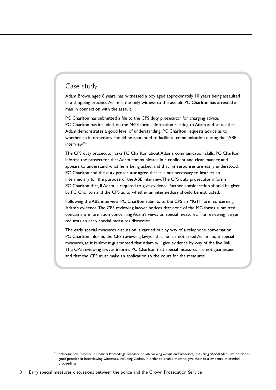### Case study

.

Adam Brown, aged 8 years, has witnessed a boy aged approximately 10 years being assaulted in a shopping precinct. Adam is the only witness to the assault. PC Charlton has arrested a man in connection with the assault.

PC Charlton has submitted a file to the CPS duty prosecutor for charging advice. PC Charlton has included, on the MG3 form, information relating to Adam and states that Adam demonstrates a good level of understanding. PC Charlton requests advice as to whether an intermediary should be appointed to facilitate communication during the "ABE" interview."4

The CPS duty prosecutor asks PC Charlton about Adam's communication skills. PC Charlton informs the prosecutor that Adam communicates in a confident and clear manner, and appears to understand what he is being asked, and that his responses are easily understood. PC Charlton and the duty prosecutor agree that it is not necessary to instruct an intermediary for the purpose of the ABE interview. The CPS duty prosecutor informs PC Charlton that, if Adam is required to give evidence, further consideration should be given by PC Charlton and the CPS as to whether an intermediary should be instructed.

Following the ABE interview, PC Charlton submits to the CPS an MG11 form concerning Adam's evidence. The CPS reviewing lawyer notices that none of the MG forms submitted contain any information concerning Adam's views on special measures. The reviewing lawyer requests an early special measures discussion.

The early special measures discussion is carried out by way of a telephone conversation. PC Charlton informs the CPS reviewing lawyer that he has not asked Adam about special measures, as it is almost guaranteed that Adam will give evidence by way of the live link. The CPS reviewing lawyer informs PC Charlton that special measures are not guaranteed, and that the CPS must make an application to the court for the measures.

<sup>4</sup> *Achieving Best Evidence in Criminal Proceedings: Guidance on Interviewing Victims and Witnesses, and Using Special Measures* describes good practice in interviewing witnesses, including victims, in order to enable them to give their best evidence in criminal proceedings.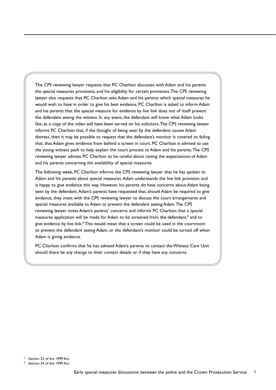The CPS reviewing lawyer requests that PC Charlton discusses with Adam and his parents the special measures provisions, and his eligibility for certain provisions. The CPS reviewing lawyer also requests that PC Charlton asks Adam and his parents which special measures he would wish to have in order to give his best evidence. PC Charlton is asked to inform Adam and his parents that the special measure for evidence by live link does not of itself prevent the defendant seeing the witness. In any event, the defendant will know what Adam looks like, as a copy of the video will have been served on his solicitors. The CPS reviewing lawyer informs PC Charlton that, if the thought of being seen by the defendant causes Adam distress, then it may be possible to request that the defendant's monitor is covered or, failing that, that Adam gives evidence from behind a screen in court. PC Charlton is advised to use the young witness pack to help explain the court process to Adam and his parents. The CPS reviewing lawyer advises PC Charlton to be careful about raising the expectations of Adam and his parents concerning the availability of special measures.

The following week, PC Charlton informs the CPS reviewing lawyer that he has spoken to Adam and his parents about special measures. Adam understands the live link provision and is happy to give evidence this way. However, his parents do have concerns about Adam being seen by the defendant. Adam's parents have requested that, should Adam be required to give evidence, they meet with the CPS reviewing lawyer to discuss the court arrangements and special measures available to Adam to prevent the defendant seeing Adam. The CPS reviewing lawyer notes Adam's parents' concerns and informs PC Charlton that a special measures application will be made for Adam to be screened from the defendant,<sup>5</sup> and to give evidence by live link.<sup>6</sup> This would mean that a screen could be used in the courtroom to prevent the defendant seeing Adam, or the defendant's monitor could be turned off when Adam is giving evidence.

PC Charlton confirms that he has advised Adam's parents to contact the Witness Care Unit should there be any change to their contact details or if they have any concerns.

<sup>5</sup> Section 23 of the 1999 Act.

<sup>6</sup> Section 24 of the 1999 Act.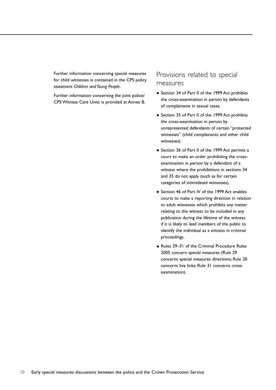Further information concerning special measures for child witnesses is contained in the CPS policy statement *Children and Young People*.

Further information concerning the joint police/ CPS Witness Care Units is provided at Annex B.

### Provisions related to special measures

- Section 34 of Part II of the 1999 Act prohibits the cross-examination in person by defendants of complainants in sexual cases.
- Section 35 of Part II of the 1999 Act prohibits the cross-examination in person by unrepresented defendants of certain "protected witnesses" (child complainants and other child witnesses).
- Section 36 of Part II of the 1999 Act permits a court to make an order prohibiting the crossexamination in person by a defendant of a witness where the prohibitions in sections 34 and 35 do not apply (such as for certain categories of intimidated witnesses).
- Section 46 of Part IV of the 1999 Act enables courts to make a reporting direction in relation to adult witnesses which prohibits any matter relating to the witness to be included in any publication during the lifetime of the witness if it is likely to lead members of the public to identify the individual as a witness in criminal proceedings.
- Rules 29–31 of the Criminal Procedure Rules 2005 concern special measures (Rule 29 concerns special measures directions; Rule 30 concerns live links; Rule 31 concerns crossexamination).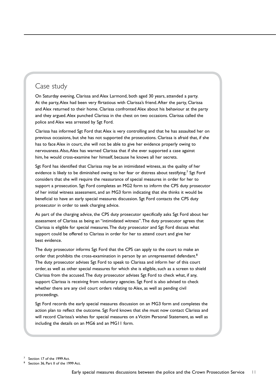### Case study

On Saturday evening, Clarissa and Alex Larmond, both aged 30 years, attended a party. At the party, Alex had been very flirtatious with Clarissa's friend. After the party, Clarissa and Alex returned to their home. Clarissa confronted Alex about his behaviour at the party and they argued. Alex punched Clarissa in the chest on two occasions. Clarissa called the police and Alex was arrested by Sgt Ford.

Clarissa has informed Sgt Ford that Alex is very controlling and that he has assaulted her on previous occasions, but she has not supported the prosecutions. Clarissa is afraid that, if she has to face Alex in court, she will not be able to give her evidence properly owing to nervousness. Also, Alex has warned Clarissa that if she ever supported a case against him, he would cross-examine her himself, because he knows all her secrets.

Sgt Ford has identified that Clarissa may be an intimidated witness, as the quality of her evidence is likely to be diminished owing to her fear or distress about testifying.<sup>7</sup> Sgt Ford considers that she will require the reassurance of special measures in order for her to support a prosecution. Sgt Ford completes an MG2 form to inform the CPS duty prosecutor of her initial witness assessment, and an MG3 form indicating that she thinks it would be beneficial to have an early special measures discussion. Sgt Ford contacts the CPS duty prosecutor in order to seek charging advice.

As part of the charging advice, the CPS duty prosecutor specifically asks Sgt Ford about her assessment of Clarissa as being an "intimidated witness". The duty prosecutor agrees that Clarissa is eligible for special measures. The duty prosecutor and Sgt Ford discuss what support could be offered to Clarissa in order for her to attend court and give her best evidence.

The duty prosecutor informs Sgt Ford that the CPS can apply to the court to make an order that prohibits the cross-examination in person by an unrepresented defendant.<sup>8</sup> The duty prosecutor advises Sgt Ford to speak to Clarissa and inform her of this court order, as well as other special measures for which she is eligible, such as a screen to shield Clarissa from the accused. The duty prosecutor advises Sgt Ford to check what, if any, support Clarissa is receiving from voluntary agencies. Sgt Ford is also advised to check whether there are any civil court orders relating to Alex, as well as pending civil proceedings.

Sgt Ford records the early special measures discussion on an MG3 form and completes the action plan to reflect the outcome. Sgt Ford knows that she must now contact Clarissa and will record Clarissa's wishes for special measures on a Victim Personal Statement, as well as including the details on an MG6 and an MG11 form.

Section 17 of the 1999 Act.

8 Section 36, Part II of the 1999 Act.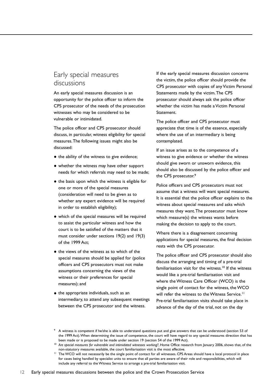### Early special measures discussions

An early special measures discussion is an opportunity for the police officer to inform the CPS prosecutor of the needs of the prosecution witnesses who may be considered to be vulnerable or intimidated.

The police officer and CPS prosecutor should discuss, in particular, witness eligibility for special measures. The following issues might also be discussed:

- the ability of the witness to give evidence;
- whether the witness may have other support needs for which referrals may need to be made;
- the basis upon which the witness is eligible for one or more of the special measures (consideration will need to be given as to whether any expert evidence will be required in order to establish eligibility);
- which of the special measures will be required to assist the particular witness and how the court is to be satisfied of the matters that it must consider under sections 19(2) and 19(3) of the 1999 Act;
- the views of the witness as to which of the special measures should be applied for (police officers and CPS prosecutors must not make assumptions concerning the views of the witness or their preferences for special measures); and
- the appropriate individuals, such as an intermediary, to attend any subsequent meetings between the CPS prosecutor and the witness.

If the early special measures discussion concerns the victim, the police officer should provide the CPS prosecutor with copies of any Victim Personal Statements made by the victim. The CPS prosecutor should always ask the police officer whether the victim has made a Victim Personal Statement.

The police officer and CPS prosecutor must appreciate that time is of the essence, especially where the use of an intermediary is being contemplated.

If an issue arises as to the competence of a witness to give evidence or whether the witness should give sworn or unsworn evidence, this should also be discussed by the police officer and the CPS prosecutor.<sup>9</sup>

Police officers and CPS prosecutors must not assume that a witness will want special measures. It is essential that the police officer explains to the witness about special measures and asks which measures they want. The prosecutor must know which measure(s) the witness wants before making the decision to apply to the court.

Where there is a disagreement concerning applications for special measures, the final decision rests with the CPS prosecutor.

The police officer and CPS prosecutor should also discuss the arranging and timing of a pre-trial familiarisation visit for the witness.<sup>10</sup> If the witness would like a pre-trial familiarisation visit and where the Witness Care Officer (WCO) is the single point of contact for the witness, the WCO will refer the witness to the Witness Service.<sup>11</sup> Pre-trial familiarisation visits should take place in advance of the day of the trial, not on the day

<sup>&</sup>lt;sup>9</sup> A witness is competent if he/she is able to understand questions put and give answers that can be understood (section 53 of the 1999 Act). When determining the issue of competence, the court will have regard to any special measures direction that has been made or is proposed to be made under section 19 (section 54 of the 1999 Act).

<sup>&</sup>lt;sup>10</sup> Are special measures for vulnerable and intimidated witnesses working?, Home Office research from January 2006, shows that, of the non-statutory measures available, the court familiarisation visit is the most effective.

<sup>&</sup>lt;sup>11</sup> The WCO will not necessarily be the single point of contact for all witnesses. CPS Areas should have a local protocol in place for cases being handled by specialist units to ensure that all parties are aware of their role and responsibilities, which will include any referral to the Witness Service to arrange a pre-trial familiarisation visit.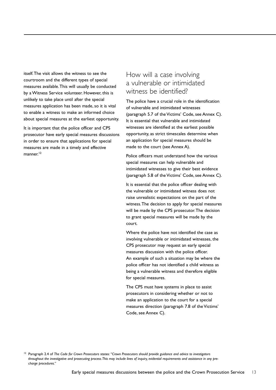itself. The visit allows the witness to see the courtroom and the different types of special measures available. This will usually be conducted by a Witness Service volunteer. However, this is unlikely to take place until after the special measures application has been made, so it is vital to enable a witness to make an informed choice about special measures at the earliest opportunity.

It is important that the police officer and CPS prosecutor have early special measures discussions in order to ensure that applications for special measures are made in a timely and effective manner.<sup>12</sup>

### How will a case involving a vulnerable or intimidated witness be identified?

The police have a crucial role in the identification of vulnerable and intimidated witnesses (paragraph 5.7 of the Victims' Code, see Annex C). It is essential that vulnerable and intimidated witnesses are identified at the earliest possible opportunity, as strict timescales determine when an application for special measures should be made to the court (see Annex A).

Police officers must understand how the various special measures can help vulnerable and intimidated witnesses to give their best evidence (paragraph 5.8 of the Victims' Code, see Annex C).

It is essential that the police officer dealing with the vulnerable or intimidated witness does not raise unrealistic expectations on the part of the witness. The decision to apply for special measures will be made by the CPS prosecutor. The decision to grant special measures will be made by the court.

Where the police have not identified the case as involving vulnerable or intimidated witnesses, the CPS prosecutor may request an early special measures discussion with the police officer. An example of such a situation may be where the police officer has not identified a child witness as being a vulnerable witness and therefore eligible for special measures.

The CPS must have systems in place to assist prosecutors in considering whether or not to make an application to the court for a special measures direction (paragraph 7.8 of the Victims' Code, see Annex C).

<sup>12</sup> Paragraph 2.4 of *The Code for Crown Prosecutors* states: *"Crown Prosecutors should provide guidance and advice to investigators throughout the investigative and prosecuting process. This may include lines of inquiry, evidential requirements and assistance in any precharge procedures."*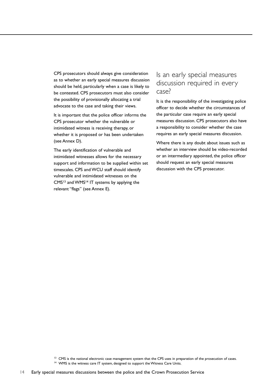CPS prosecutors should always give consideration as to whether an early special measures discussion should be held, particularly when a case is likely to be contested. CPS prosecutors must also consider the possibility of provisionally allocating a trial advocate to the case and taking their views.

It is important that the police officer informs the CPS prosecutor whether the vulnerable or intimidated witness is receiving therapy, or whether it is proposed or has been undertaken (see Annex D).

The early identification of vulnerable and intimidated witnesses allows for the necessary support and information to be supplied within set timescales. CPS and WCU staff should identify vulnerable and intimidated witnesses on the CMS<sup>13</sup> and WMS<sup>14</sup> IT systems by applying the relevant "flags" (see Annex E).

### Is an early special measures discussion required in every case?

It is the responsibility of the investigating police officer to decide whether the circumstances of the particular case require an early special measures discussion. CPS prosecutors also have a responsibility to consider whether the case requires an early special measures discussion.

Where there is any doubt about issues such as whether an interview should be video-recorded or an intermediary appointed, the police officer should request an early special measures discussion with the CPS prosecutor.

<sup>14</sup> WMS is the witness care IT system, designed to support the Witness Care Units.

<sup>&</sup>lt;sup>13</sup> CMS is the national electronic case management system that the CPS uses in preparation of the prosecution of cases.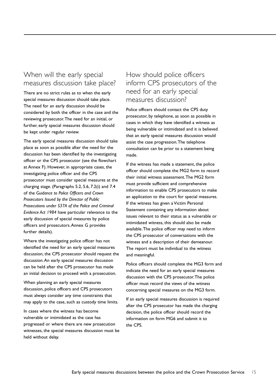## When will the early special measures discussion take place?

There are no strict rules as to when the early special measures discussion should take place. The need for an early discussion should be considered by both the officer in the case and the reviewing prosecutor. The need for an initial, or further, early special measures discussion should be kept under regular review.

The early special measures discussion should take place as soon as possible after the need for the discussion has been identified by the investigating officer or the CPS prosecutor (see the flowchart at Annex F). However, in appropriate cases, the investigating police officer and the CPS prosecutor must consider special measures at the charging stage. (Paragraphs 5.2, 5.6, 7.2(i) and 7.4 of the *Guidance to Police Officers and Crown Prosecutors Issued by the Director of Public Prosecutions under S37A of the Police and Criminal Evidence Act 1984* have particular relevance to the early discussion of special measures by police officers and prosecutors. Annex G provides further details).

Where the investigating police officer has not identified the need for an early special measures discussion, the CPS prosecutor should request the discussion. An early special measures discussion can be held after the CPS prosecutor has made an initial decision to proceed with a prosecution.

When planning an early special measures discussion, police officers and CPS prosecutors must always consider any time constraints that may apply to the case, such as custody time limits.

In cases where the witness has become vulnerable or intimidated as the case has progressed or where there are new prosecution witnesses, the special measures discussion must be held without delay.

### How should police officers inform CPS prosecutors of the need for an early special measures discussion?

Police officers should contact the CPS duty prosecutor, by telephone, as soon as possible in cases in which they have identified a witness as being vulnerable or intimidated and it is believed that an early special measures discussion would assist the case progression. The telephone consultation can be prior to a statement being made.

If the witness has made a statement, the police officer should complete the MG2 form to record their initial witness assessment. The MG2 form must provide sufficient and comprehensive information to enable CPS prosecutors to make an application to the court for special measures. If the witness has given a Victim Personal Statement containing any information about issues relevant to their status as a vulnerable or intimidated witness, this should also be made available. The police officer may need to inform the CPS prosecutor of conversations with the witness and a description of their demeanour. The report must be individual to the witness and meaningful.

Police officers should complete the MG3 form and indicate the need for an early special measures discussion with the CPS prosecutor. The police officer must record the views of the witness concerning special measures on the MG3 form.

If an early special measures discussion is required after the CPS prosecutor has made the charging decision, the police officer should record the information on form MG6 and submit it to the CPS.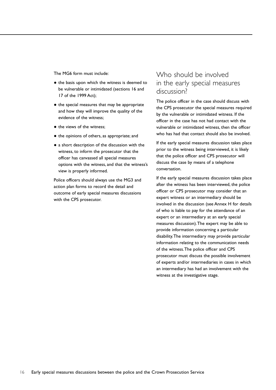The MG6 form must include:

- the basis upon which the witness is deemed to be vulnerable or intimidated (sections 16 and 17 of the 1999 Act);
- the special measures that may be appropriate and how they will improve the quality of the evidence of the witness;
- the views of the witness;
- the opinions of others, as appropriate; and
- a short description of the discussion with the witness, to inform the prosecutor that the officer has canvassed all special measures options with the witness, and that the witness's view is properly informed.

Police officers should always use the MG3 and action plan forms to record the detail and outcome of early special measures discussions with the CPS prosecutor.

### Who should be involved in the early special measures discussion?

The police officer in the case should discuss with the CPS prosecutor the special measures required by the vulnerable or intimidated witness. If the officer in the case has not had contact with the vulnerable or intimidated witness, then the officer who has had that contact should also be involved.

If the early special measures discussion takes place prior to the witness being interviewed, it is likely that the police officer and CPS prosecutor will discuss the case by means of a telephone conversation.

If the early special measures discussion takes place after the witness has been interviewed, the police officer or CPS prosecutor may consider that an expert witness or an intermediary should be involved in the discussion (see Annex H for details of who is liable to pay for the attendance of an expert or an intermediary at an early special measures discussion). The expert may be able to provide information concerning a particular disability. The intermediary may provide particular information relating to the communication needs of the witness. The police officer and CPS prosecutor must discuss the possible involvement of experts and/or intermediaries in cases in which an intermediary has had an involvement with the witness at the investigative stage.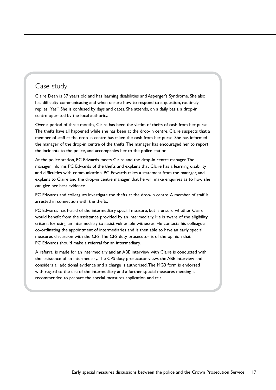### Case study

Claire Dean is 37 years old and has learning disabilities and Asperger's Syndrome. She also has difficulty communicating and when unsure how to respond to a question, routinely replies "Yes". She is confused by days and dates. She attends, on a daily basis, a drop-in centre operated by the local authority.

Over a period of three months, Claire has been the victim of thefts of cash from her purse. The thefts have all happened while she has been at the drop-in centre. Claire suspects that a member of staff at the drop-in centre has taken the cash from her purse. She has informed the manager of the drop-in centre of the thefts. The manager has encouraged her to report the incidents to the police, and accompanies her to the police station.

At the police station, PC Edwards meets Claire and the drop-in centre manager. The manager informs PC Edwards of the thefts and explains that Claire has a learning disability and difficulties with communication. PC Edwards takes a statement from the manager, and explains to Claire and the drop-in centre manager that he will make enquiries as to how she can give her best evidence.

PC Edwards and colleagues investigate the thefts at the drop-in centre. A member of staff is arrested in connection with the thefts.

PC Edwards has heard of the intermediary special measure, but is unsure whether Claire would benefit from the assistance provided by an intermediary. He is aware of the eligibility criteria for using an intermediary to assist vulnerable witnesses. He contacts his colleague co-ordinating the appointment of intermediaries and is then able to have an early special measures discussion with the CPS. The CPS duty prosecutor is of the opinion that PC Edwards should make a referral for an intermediary.

A referral is made for an intermediary and an ABE interview with Claire is conducted with the assistance of an intermediary. The CPS duty prosecutor views the ABE interview and considers all additional evidence and a charge is authorised. The MG3 form is endorsed with regard to the use of the intermediary and a further special measures meeting is recommended to prepare the special measures application and trial.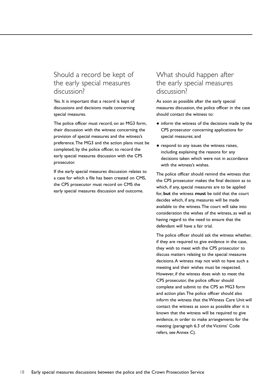### Should a record be kept of the early special measures discussion?

Yes. It is important that a record is kept of discussions and decisions made concerning special measures.

The police officer must record, on an MG3 form, their discussion with the witness concerning the provision of special measures and the witness's preference. The MG3 and the action plans must be completed, by the police officer, to record the early special measures discussion with the CPS prosecutor.

If the early special measures discussion relates to a case for which a file has been created on CMS, the CPS prosecutor must record on CMS the early special measures discussion and outcome.

### What should happen after the early special measures discussion?

As soon as possible after the early special measures discussion, the police officer in the case should contact the witness to:

- inform the witness of the decisions made by the CPS prosecutor concerning applications for special measures; and
- respond to any issues the witness raises, including explaining the reasons for any decisions taken which were not in accordance with the witness's wishes.

The police officer should remind the witness that the CPS prosecutor makes the final decision as to which, if any, special measures are to be applied for, **but** the witness **must** be told that the court decides which, if any, measures will be made available to the witness. The court will take into consideration the wishes of the witness, as well as having regard to the need to ensure that the defendant will have a fair trial.

The police officer should ask the witness whether, if they are required to give evidence in the case, they wish to meet with the CPS prosecutor to discuss matters relating to the special measures decisions. A witness may not wish to have such a meeting and their wishes must be respected. However, if the witness does wish to meet the CPS prosecutor, the police officer should complete and submit to the CPS an MG3 form and action plan. The police officer should also inform the witness that the Witness Care Unit will contact the witness as soon as possible after it is known that the witness will be required to give evidence, in order to make arrangements for the meeting (paragraph 6.3 of the Victims' Code refers, see Annex C).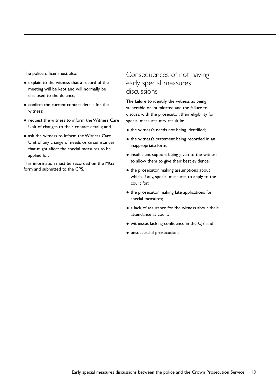The police officer must also:

- explain to the witness that a record of the meeting will be kept and will normally be disclosed to the defence;
- confirm the current contact details for the witness;
- request the witness to inform the Witness Care Unit of changes to their contact details; and
- ask the witness to inform the Witness Care Unit of any change of needs or circumstances that might affect the special measures to be applied for.

This information must be recorded on the MG3 form and submitted to the CPS.

### Consequences of not having early special measures discussions

The failure to identify the witness as being vulnerable or intimidated and the failure to discuss, with the prosecutor, their eligibility for special measures may result in:

- the witness's needs not being identified;
- the witness's statement being recorded in an inappropriate form;
- insufficient support being given to the witness to allow them to give their best evidence;
- the prosecutor making assumptions about which, if any, special measures to apply to the court for;
- the prosecutor making late applications for special measures;
- a lack of assurance for the witness about their attendance at court;
- witnesses lacking confidence in the CJS; and
- unsuccessful prosecutions.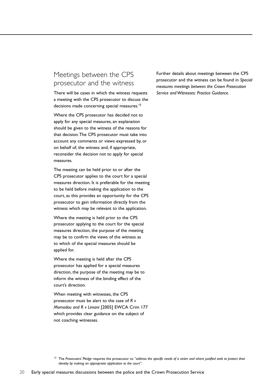### Meetings between the CPS prosecutor and the witness

There will be cases in which the witness requests a meeting with the CPS prosecutor to discuss the decisions made concerning special measures.<sup>15</sup>

Where the CPS prosecutor has decided not to apply for any special measures, an explanation should be given to the witness of the reasons for that decision. The CPS prosecutor must take into account any comments or views expressed by, or on behalf of, the witness and, if appropriate, reconsider the decision not to apply for special measures.

The meeting can be held prior to or after the CPS prosecutor applies to the court for a special measures direction. It is preferable for the meeting to be held before making the application to the court, as this provides an opportunity for the CPS prosecutor to gain information directly from the witness which may be relevant to the application.

Where the meeting is held prior to the CPS prosecutor applying to the court for the special measures direction, the purpose of the meeting may be to confirm the views of the witness as to which of the special measures should be applied for.

Where the meeting is held after the CPS prosecutor has applied for a special measures direction, the purpose of the meeting may be to inform the witness of the binding effect of the court's direction.

When meeting with witnesses, the CPS prosecutor must be alert to the case of *R v Momodou and R v Limani* [2005] EWCA Crim 177 which provides clear guidance on the subject of not coaching witnesses.

Further details about meetings between the CPS prosecutor and the witness can be found in *Special measures meetings between the Crown Prosecution Service and Witnesses: Practice Guidance.* 

<sup>&</sup>lt;sup>15</sup> The Prosecutors' Pledge requires the prosecutor to "address the specific needs of a victim and where justified seek to protect their *identity by making an appropriate application to the court".*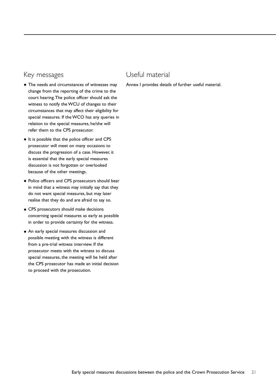### Key messages

- The needs and circumstances of witnesses may change from the reporting of the crime to the court hearing. The police officer should ask the witness to notify the WCU of changes to their circumstances that may affect their eligibility for special measures. If the WCO has any queries in relation to the special measures, he/she will refer them to the CPS prosecutor.
- It is possible that the police officer and CPS prosecutor will meet on many occasions to discuss the progression of a case. However, it is essential that the early special measures discussion is not forgotten or overlooked because of the other meetings.
- Police officers and CPS prosecutors should bear in mind that a witness may initially say that they do not want special measures, but may later realise that they do and are afraid to say so.
- CPS prosecutors should make decisions concerning special measures as early as possible in order to provide certainty for the witness.
- An early special measures discussion and possible meeting with the witness is different from a pre-trial witness interview. If the prosecutor meets with the witness to discuss special measures, the meeting will be held after the CPS prosecutor has made an initial decision to proceed with the prosecution.

### Useful material

Annex I provides details of further useful material.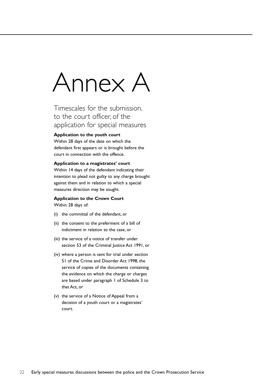## Annex A

Timescales for the submission, to the court officer, of the application for special measures

### **Application to the youth court**

Within 28 days of the date on which the defendant first appears or is brought before the court in connection with the offence.

#### **Application to a magistrates' court**

Within 14 days of the defendant indicating their intention to plead not guilty to any charge brought against them and in relation to which a special measures direction may be sought.

#### **Application to the Crown Court**

Within 28 days of:

- (i) the committal of the defendant, or
- (ii) the consent to the preferment of a bill of indictment in relation to the case, or
- (iii) the service of a notice of transfer under section 53 of the Criminal Justice Act 1991, or
- (iv) where a person is sent for trial under section 51 of the Crime and Disorder Act 1998, the service of copies of the documents containing the evidence on which the charge or charges are based under paragraph 1 of Schedule 3 to that Act, or
- (v) the service of a Notice of Appeal from a decision of a youth court or a magistrates' court.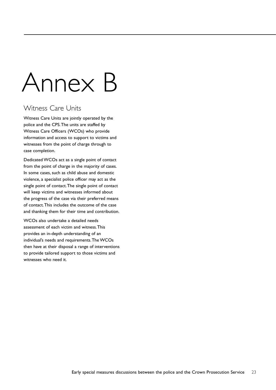## Annex B

## Witness Care Units

Witness Care Units are jointly operated by the police and the CPS. The units are staffed by Witness Care Officers (WCOs) who provide information and access to support to victims and witnesses from the point of charge through to case completion.

Dedicated WCOs act as a single point of contact from the point of charge in the majority of cases. In some cases, such as child abuse and domestic violence, a specialist police officer may act as the single point of contact. The single point of contact will keep victims and witnesses informed about the progress of the case via their preferred means of contact. This includes the outcome of the case and thanking them for their time and contribution.

WCOs also undertake a detailed needs assessment of each victim and witness. This provides an in-depth understanding of an individual's needs and requirements. The WCOs then have at their disposal a range of interventions to provide tailored support to those victims and witnesses who need it.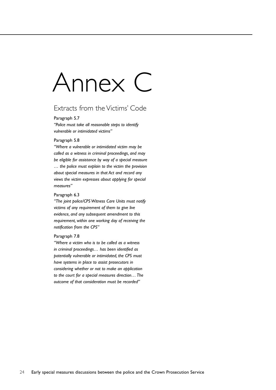## Annex C

## Extracts from the Victims' Code

#### Paragraph 5.7

*"Police must take all reasonable steps to identify vulnerable or intimidated victims"*

#### Paragraph 5.8

*"Where a vulnerable or intimidated victim may be called as a witness in criminal proceedings, and may be eligible for assistance by way of a special measure … the police must explain to the victim the provision about special measures in that Act and record any views the victim expresses about applying for special measures"*

#### Paragraph 6.3

*"The joint police/CPS Witness Care Units must notify victims of any requirement of them to give live evidence, and any subsequent amendment to this requirement, within one working day of receiving the notification from the CPS"*

#### Paragraph 7.8

*"Where a victim who is to be called as a witness in criminal proceedings… has been identified as potentially vulnerable or intimidated, the CPS must have systems in place to assist prosecutors in considering whether or not to make an application to the court for a special measures direction… The outcome of that consideration must be recorded"*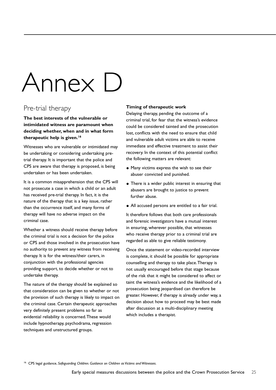## Annex D

### Pre-trial therapy

**The best interests of the vulnerable or intimidated witness are paramount when deciding whether, when and in what form therapeutic help is given.16**

Witnesses who are vulnerable or intimidated may be undertaking or considering undertaking pretrial therapy. It is important that the police and CPS are aware that therapy is proposed, is being undertaken or has been undertaken.

It is a common misapprehension that the CPS will not prosecute a case in which a child or an adult has received pre-trial therapy. In fact, it is the nature of the therapy that is a key issue, rather than the occurrence itself, and many forms of therapy will have no adverse impact on the criminal case.

Whether a witness should receive therapy before the criminal trial is not a decision for the police or CPS and those involved in the prosecution have no authority to prevent any witness from receiving therapy. It is for the witness/their carers, in conjunction with the professional agencies providing support, to decide whether or not to undertake therapy.

The nature of the therapy should be explained so that consideration can be given to whether or not the provision of such therapy is likely to impact on the criminal case. Certain therapeutic approaches very definitely present problems so far as evidential reliability is concerned. These would include hypnotherapy, psychodrama, regression techniques and unstructured groups.

#### **Timing of therapeutic work**

Delaying therapy, pending the outcome of a criminal trial, for fear that the witness's evidence could be considered tainted and the prosecution lost, conflicts with the need to ensure that child and vulnerable adult victims are able to receive immediate and effective treatment to assist their recovery. In the context of this potential conflict the following matters are relevant:

- Many victims express the wish to see their abuser convicted and punished.
- There is a wider public interest in ensuring that abusers are brought to justice to prevent further abuse.
- All accused persons are entitled to a fair trial.

It therefore follows that both care professionals and forensic investigators have a mutual interest in ensuring, wherever possible, that witnesses who receive therapy prior to a criminal trial are regarded as able to give reliable testimony.

Once the statement or video-recorded interview is complete, it should be possible for appropriate counselling and therapy to take place. Therapy is not usually encouraged before that stage because of the risk that it might be considered to affect or taint the witness's evidence and the likelihood of a prosecution being jeopardised can therefore be greater. However, if therapy is already under way, a decision about how to proceed may be best made after discussion at a multi-disciplinary meeting which includes a therapist.

<sup>16</sup> CPS legal guidance, *Safeguarding Children. Guidance on Children as Victims and Witnesses*.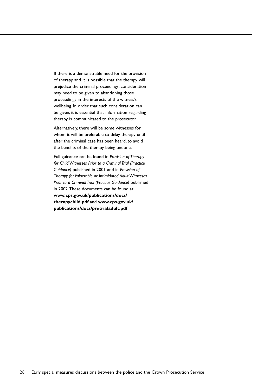If there is a demonstrable need for the provision of therapy and it is possible that the therapy will prejudice the criminal proceedings, consideration may need to be given to abandoning those proceedings in the interests of the witness's wellbeing. In order that such consideration can be given, it is essential that information regarding therapy is communicated to the prosecutor.

Alternatively, there will be some witnesses for whom it will be preferable to delay therapy until after the criminal case has been heard, to avoid the benefits of the therapy being undone.

Full guidance can be found in *Provision of Therapy for Child Witnesses Prior to a Criminal Trial (Practice Guidance)* published in 2001 and in *Provision of Therapy for Vulnerable or Intimidated Adult Witnesses Prior to a Criminal Trial (Practice Guidance)* published in 2002. These documents can be found at **www.cps.gov.uk/publications/docs/ therapychild.pdf** and **www.cps.gov.uk/ publications/docs/pretrialadult.pdf**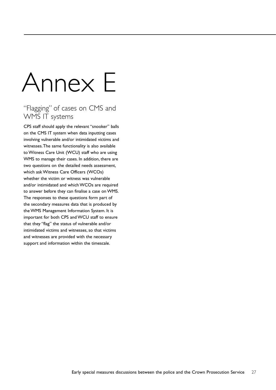## Annex E

## "Flagging" of cases on CMS and WMS IT systems

CPS staff should apply the relevant "snooker" balls on the CMS IT system when data inputting cases involving vulnerable and/or intimidated victims and witnesses. The same functionality is also available to Witness Care Unit (WCU) staff who are using WMS to manage their cases. In addition, there are two questions on the detailed needs assessment, which ask Witness Care Officers (WCOs) whether the victim or witness was vulnerable and/or intimidated and which WCOs are required to answer before they can finalise a case on WMS. The responses to these questions form part of the secondary measures data that is produced by the WMS Management Information System. It is important for both CPS and WCU staff to ensure that they "flag" the status of vulnerable and/or intimidated victims and witnesses, so that victims and witnesses are provided with the necessary support and information within the timescale.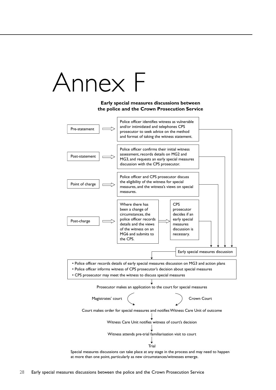## Annex F

### **Early special measures discussions between the police and the Crown Prosecution Service**



at more than one point, particularly as new circumstances/witnesses emerge.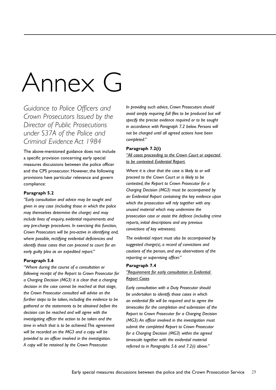## Annex G

*Guidance to Police Officers and Crown Prosecutors Issued by the Director of Public Prosecutions under S37A of the Police and Criminal Evidence Act 1984*

The above-mentioned guidance does not include a specific provision concerning early special measures discussions between the police officer and the CPS prosecutor. However, the following provisions have particular relevance and govern compliance:

#### **Paragraph 5.2**

*"Early consultation and advice may be sought and given in any case (including those in which the police may themselves determine the charge) and may include lines of enquiry, evidential requirements and any pre-charge procedures. In exercising this function, Crown Prosecutors will be pro-active in identifying and, where possible, rectifying evidential deficiencies and identify those cases that can proceed to court for an early guilty plea as an expedited report."*

#### **Paragraph 5.6**

*"Where during the course of a consultation or following receipt of the Report to Crown Prosecutor for a Charging Decision (MG3) it is clear that a charging decision in the case cannot be reached at that stage, the Crown Prosecutor consulted will advise on the further steps to be taken, including the evidence to be gathered or the statements to be obtained before the decision can be reached and will agree with the investigating officer the action to be taken and the time in which that is to be achieved. This agreement will be recorded on the MG3 and a copy will be provided to an officer involved in the investigation. A copy will be retained by the Crown Prosecutor.* 

*In providing such advice, Crown Prosecutors should avoid simply requiring full files to be produced but will specify the precise evidence required or to be sought in accordance with Paragraph 7.2 below. Persons will not be charged until all agreed actions have been completed."*

#### **Paragraph 7.2(i)**

### *"All cases proceeding to the Crown Court or expected to be contested: Evidential Report.*

*Where it is clear that the case is likely to or will proceed to the Crown Court or is likely to be contested, the Report to Crown Prosecutor for a Charging Decision (MG3) must be accompanied by an Evidential Report containing the key evidence upon which the prosecution will rely together with any unused material which may undermine the prosecution case or assist the defence (including crime reports, initial descriptions and any previous convictions of key witnesses).*

*The evidential report must also be accompanied by suggested charge(s), a record of convictions and cautions of the person, and any observations of the reporting or supervising officer."*

#### **Paragraph 7.4**

*"Requirement for early consultation in Evidential Report Cases*

*Early consultation with a Duty Prosecutor should be undertaken to identify those cases in which an evidential file will be required and to agree the timescales for the completion and submission of the Report to Crown Prosecutor for a Charging Decision (MG3). An officer involved in the investigation must submit the completed Report to Crown Prosecutor for a Charging Decision (MG3) within the agreed timescale together with the evidential material referred to in Paragraphs 5.6 and 7.2(i) above."*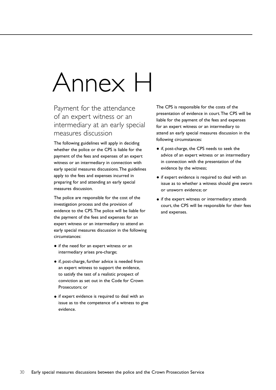## Annex H

Payment for the attendance of an expert witness or an intermediary at an early special measures discussion

The following guidelines will apply in deciding whether the police or the CPS is liable for the payment of the fees and expenses of an expert witness or an intermediary in connection with early special measures discussions. The guidelines apply to the fees and expenses incurred in preparing for and attending an early special measures discussion.

The police are responsible for the cost of the investigation process and the provision of evidence to the CPS. The police will be liable for the payment of the fees and expenses for an expert witness or an intermediary to attend an early special measures discussion in the following circumstances:

- if the need for an expert witness or an intermediary arises pre-charge;
- if, post-charge, further advice is needed from an expert witness to support the evidence, to satisfy the test of a realistic prospect of conviction as set out in the Code for Crown Prosecutors; or
- if expert evidence is required to deal with an issue as to the competence of a witness to give evidence.

The CPS is responsible for the costs of the presentation of evidence in court. The CPS will be liable for the payment of the fees and expenses for an expert witness or an intermediary to attend an early special measures discussion in the following circumstances:

- if, post-charge, the CPS needs to seek the advice of an expert witness or an intermediary in connection with the presentation of the evidence by the witness;
- if expert evidence is required to deal with an issue as to whether a witness should give sworn or unsworn evidence; or
- if the expert witness or intermediary attends court, the CPS will be responsible for their fees and expenses.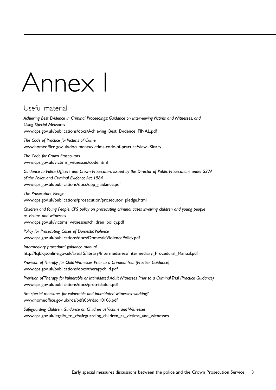## Annex I

## Useful material

*Achieving Best Evidence in Criminal Proceedings: Guidance on Interviewing Victims and Witnesses, and Using Special Measures* www.cps.gov.uk/publications/docs/Achieving\_Best\_Evidence\_FINAL.pdf *The Code of Practice for Victims of Crime* www.homeoffice.gov.uk/documents/victims-code-of-practice?view=Binary *The Code for Crown Prosecutors* www.cps.gov.uk/victims\_witnesses/code.html *Guidance to Police Officers and Crown Prosecutors Issued by the Director of Public Prosecutions under S37A of the Police and Criminal Evidence Act 1984* www.cps.gov.uk/publications/docs/dpp\_guidance.pdf *The Prosecutors' Pledge* www.cps.gov.uk/publications/prosecution/prosecutor\_pledge.html *Children and Young People. CPS policy on prosecuting criminal cases involving children and young people as victims and witnesses* www.cps.gov.uk/victims\_witnesses/children\_policy.pdf *Policy for Prosecuting Cases of Domestic Violence* www.cps.gov.uk/publications/docs/DomesticViolencePolicy.pdf *Intermediary procedural guidance manual* http://lcjb.cjsonline.gov.uk/area15/library/Intermediaries/Intermediary\_Procedural\_Manual.pdf *Provision of Therapy for Child Witnesses Prior to a Criminal Trial (Practice Guidance)* www.cps.gov.uk/publications/docs/therapychild.pdf *Provision of Therapy for Vulnerable or Intimidated Adult Witnesses Prior to a Criminal Trial (Practice Guidance)*

www.cps.gov.uk/publications/docs/pretrialadult.pdf

*Are special measures for vulnerable and intimidated witnesses working?* www.homeoffice.gov.uk/rds/pdfs06/rdsolr0106.pdf

*Safeguarding Children. Guidance on Children as Victims and Witnesses* www.cps.gov.uk/legal/v\_to\_z/safeguarding\_children\_as\_victims\_and\_witnesses